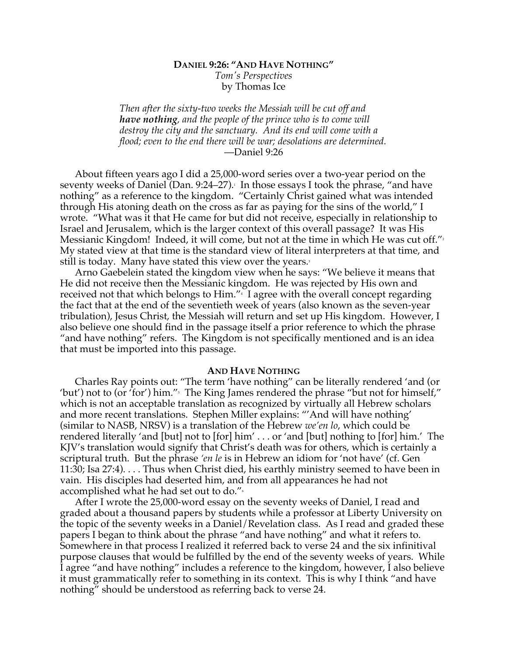## **DANIEL 9:26: "AND HAVE NOTHING"** *Tom's Perspectives* by Thomas Ice

*Then after the sixty-two weeks the Messiah will be cut off and have nothing, and the people of the prince who is to come will destroy the city and the sanctuary. And its end will come with a flood; even to the end there will be war; desolations are determined.* —Daniel 9:26

About fifteen years ago I did a 25,000-word series over a two-year period on the seventy weeks of Daniel (Dan. 9:24–27). 1 In those essays I took the phrase, "and have nothing" as a reference to the kingdom. "Certainly Christ gained what was intended through His atoning death on the cross as far as paying for the sins of the world," I wrote. "What was it that He came for but did not receive, especially in relationship to Israel and Jerusalem, which is the larger context of this overall passage? It was His Messianic Kingdom! Indeed, it will come, but not at the time in which He was cut off." $^{\scriptscriptstyle 2}$ My stated view at that time is the standard view of literal interpreters at that time, and still is today. Many have stated this view over the years.

Arno Gaebelein stated the kingdom view when he says: "We believe it means that He did not receive then the Messianic kingdom. He was rejected by His own and received not that which belongs to Him."4 I agree with the overall concept regarding the fact that at the end of the seventieth week of years (also known as the seven-year tribulation), Jesus Christ, the Messiah will return and set up His kingdom. However, I also believe one should find in the passage itself a prior reference to which the phrase "and have nothing" refers. The Kingdom is not specifically mentioned and is an idea that must be imported into this passage.

## **AND HAVE NOTHING**

Charles Ray points out: "The term 'have nothing" can be literally rendered 'and (or 'but') not to (or 'for') him."<sup>5</sup> The King James rendered the phrase "but not for himself," which is not an acceptable translation as recognized by virtually all Hebrew scholars and more recent translations. Stephen Miller explains: "'And will have nothing' (similar to NASB, NRSV) is a translation of the Hebrew *we'en lo*, which could be rendered literally 'and [but] not to [for] him' . . . or 'and [but] nothing to [for] him.' The KJV's translation would signify that Christ's death was for others, which is certainly a scriptural truth. But the phrase *'en le* is in Hebrew an idiom for 'not have' (cf. Gen 11:30; Isa 27:4). . . . Thus when Christ died, his earthly ministry seemed to have been in vain. His disciples had deserted him, and from all appearances he had not accomplished what he had set out to do."<sup>6</sup>

After I wrote the 25,000-word essay on the seventy weeks of Daniel, I read and graded about a thousand papers by students while a professor at Liberty University on the topic of the seventy weeks in a Daniel/Revelation class. As I read and graded these papers I began to think about the phrase "and have nothing" and what it refers to. Somewhere in that process I realized it referred back to verse 24 and the six infinitival purpose clauses that would be fulfilled by the end of the seventy weeks of years. While I agree "and have nothing" includes a reference to the kingdom, however, I also believe it must grammatically refer to something in its context. This is why I think "and have nothing" should be understood as referring back to verse 24.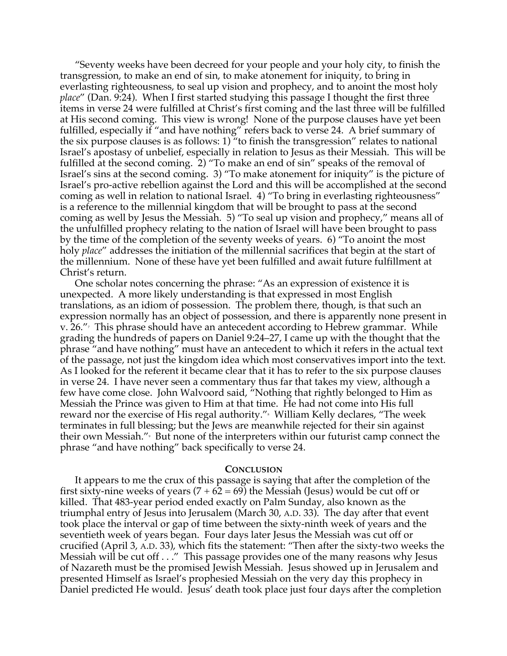"Seventy weeks have been decreed for your people and your holy city, to finish the transgression, to make an end of sin, to make atonement for iniquity, to bring in everlasting righteousness, to seal up vision and prophecy, and to anoint the most holy *place*" (Dan. 9:24). When I first started studying this passage I thought the first three items in verse 24 were fulfilled at Christ's first coming and the last three will be fulfilled at His second coming. This view is wrong! None of the purpose clauses have yet been fulfilled, especially if "and have nothing" refers back to verse 24. A brief summary of the six purpose clauses is as follows: 1) "to finish the transgression" relates to national Israel's apostasy of unbelief, especially in relation to Jesus as their Messiah. This will be fulfilled at the second coming. 2) "To make an end of sin" speaks of the removal of Israel's sins at the second coming. 3) "To make atonement for iniquity" is the picture of Israel's pro-active rebellion against the Lord and this will be accomplished at the second coming as well in relation to national Israel. 4) "To bring in everlasting righteousness" is a reference to the millennial kingdom that will be brought to pass at the second coming as well by Jesus the Messiah. 5) "To seal up vision and prophecy," means all of the unfulfilled prophecy relating to the nation of Israel will have been brought to pass by the time of the completion of the seventy weeks of years. 6) "To anoint the most holy *place*" addresses the initiation of the millennial sacrifices that begin at the start of the millennium. None of these have yet been fulfilled and await future fulfillment at Christ's return.

One scholar notes concerning the phrase: "As an expression of existence it is unexpected. A more likely understanding is that expressed in most English translations, as an idiom of possession. The problem there, though, is that such an expression normally has an object of possession, and there is apparently none present in v.  $26.''$  This phrase should have an antecedent according to Hebrew grammar. While grading the hundreds of papers on Daniel 9:24–27, I came up with the thought that the phrase "and have nothing" must have an antecedent to which it refers in the actual text of the passage, not just the kingdom idea which most conservatives import into the text. As I looked for the referent it became clear that it has to refer to the six purpose clauses in verse 24. I have never seen a commentary thus far that takes my view, although a few have come close. John Walvoord said, "Nothing that rightly belonged to Him as Messiah the Prince was given to Him at that time. He had not come into His full reward nor the exercise of His regal authority."<sub>"</sub> William Kelly declares, "The week terminates in full blessing; but the Jews are meanwhile rejected for their sin against their own Messiah."<sup>9</sup> But none of the interpreters within our futurist camp connect the phrase "and have nothing" back specifically to verse 24.

## **CONCLUSION**

It appears to me the crux of this passage is saying that after the completion of the first sixty-nine weeks of years  $(7 + 62 = 69)$  the Messiah (Jesus) would be cut off or killed. That 483-year period ended exactly on Palm Sunday, also known as the triumphal entry of Jesus into Jerusalem (March 30, A.D. 33). The day after that event took place the interval or gap of time between the sixty-ninth week of years and the seventieth week of years began. Four days later Jesus the Messiah was cut off or crucified (April 3, A.D. 33), which fits the statement: "Then after the sixty-two weeks the Messiah will be cut off . . ." This passage provides one of the many reasons why Jesus of Nazareth must be the promised Jewish Messiah. Jesus showed up in Jerusalem and presented Himself as Israel's prophesied Messiah on the very day this prophecy in Daniel predicted He would. Jesus' death took place just four days after the completion